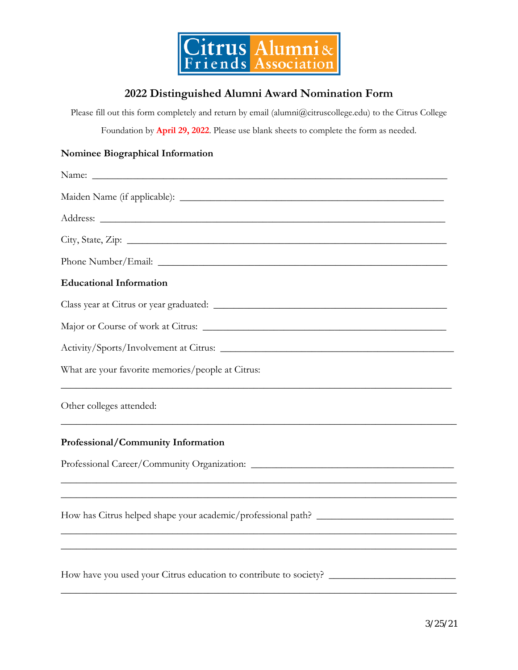

## **2022 Distinguished Alumni Award Nomination Form**

Please fill out this form completely and return by email (alumni@citruscollege.edu) to the Citrus College Foundation by **April 29, 2022**. Please use blank sheets to complete the form as needed.

## **Nominee Biographical Information**

| <b>Educational Information</b>                                                                                   |  |  |  |
|------------------------------------------------------------------------------------------------------------------|--|--|--|
|                                                                                                                  |  |  |  |
|                                                                                                                  |  |  |  |
|                                                                                                                  |  |  |  |
| What are your favorite memories/people at Citrus:                                                                |  |  |  |
| Other colleges attended:                                                                                         |  |  |  |
| Professional/Community Information                                                                               |  |  |  |
|                                                                                                                  |  |  |  |
|                                                                                                                  |  |  |  |
| and the control of the control of the control of the control of the control of the control of the control of the |  |  |  |
|                                                                                                                  |  |  |  |
| How have you used your Citrus education to contribute to society? __________________________________             |  |  |  |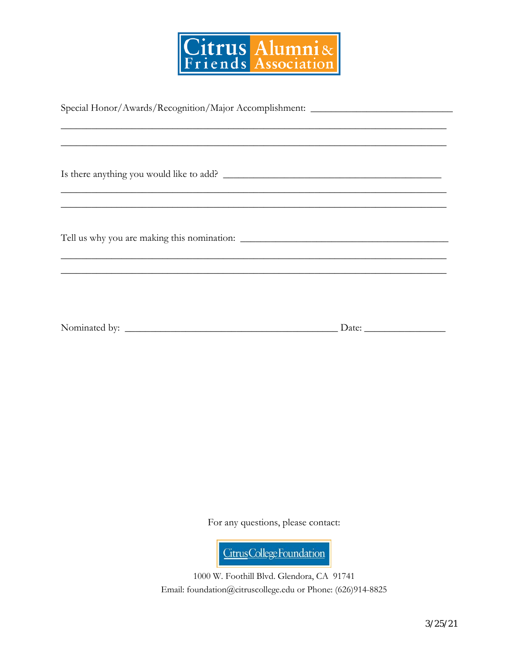

| Special Honor/Awards/Recognition/Major Accomplishment: _________________________  |  |  |
|-----------------------------------------------------------------------------------|--|--|
|                                                                                   |  |  |
| ,我们也不能在这里的人,我们也不能在这里的人,我们也不能在这里的人,我们也不能在这里的人,我们也不能在这里的人,我们也不能在这里的人,我们也不能在这里的人,我们也 |  |  |
|                                                                                   |  |  |
|                                                                                   |  |  |
|                                                                                   |  |  |
|                                                                                   |  |  |
| <u> 1989 - Jan James James Barnett, amerikan berlindar (h. 1989).</u>             |  |  |
|                                                                                   |  |  |
|                                                                                   |  |  |
|                                                                                   |  |  |
|                                                                                   |  |  |
|                                                                                   |  |  |
| ,我们也不能在这里的时候,我们也不能在这里的时候,我们也不能会在这里的时候,我们也不能会在这里的时候,我们也不能会在这里的时候,我们也不能会在这里的时候,我们也不 |  |  |
|                                                                                   |  |  |
|                                                                                   |  |  |
|                                                                                   |  |  |
|                                                                                   |  |  |
|                                                                                   |  |  |
|                                                                                   |  |  |

For any questions, please contact:

Citrus College Foundation

1000 W. Foothill Blvd. Glendora, CA 91741 Email: foundation@citruscollege.edu or Phone: (626)914-8825